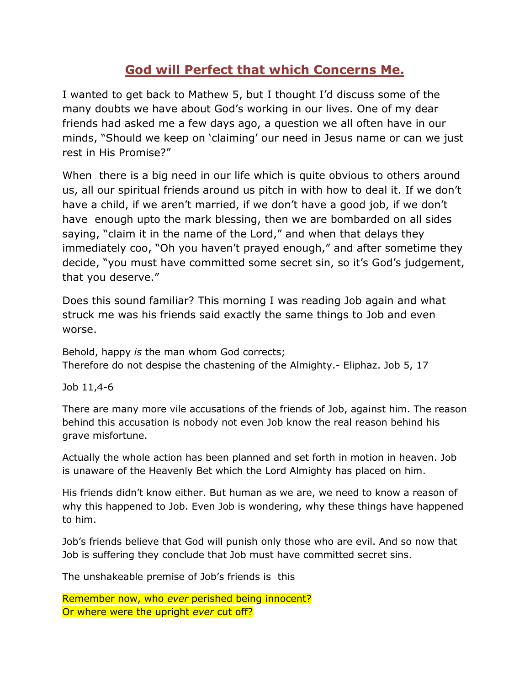## **God will Perfect that which Concerns Me.**

I wanted to get back to Mathew 5, but I thought I"d discuss some of the many doubts we have about God's working in our lives. One of my dear friends had asked me a few days ago, a question we all often have in our minds, "Should we keep on "claiming" our need in Jesus name or can we just rest in His Promise?"

When there is a big need in our life which is quite obvious to others around us, all our spiritual friends around us pitch in with how to deal it. If we don"t have a child, if we aren't married, if we don't have a good job, if we don't have enough upto the mark blessing, then we are bombarded on all sides saying, "claim it in the name of the Lord," and when that delays they immediately coo, "Oh you haven't prayed enough," and after sometime they decide, "you must have committed some secret sin, so it's God's judgement, that you deserve."

Does this sound familiar? This morning I was reading Job again and what struck me was his friends said exactly the same things to Job and even worse.

Behold, happy *is* the man whom God corrects; Therefore do not despise the chastening of the Almighty.- Eliphaz. Job 5, 17

Job 11,4-6

There are many more vile accusations of the friends of Job, against him. The reason behind this accusation is nobody not even Job know the real reason behind his grave misfortune.

Actually the whole action has been planned and set forth in motion in heaven. Job is unaware of the Heavenly Bet which the Lord Almighty has placed on him.

His friends didn"t know either. But human as we are, we need to know a reason of why this happened to Job. Even Job is wondering, why these things have happened to him.

Job"s friends believe that God will punish only those who are evil. And so now that Job is suffering they conclude that Job must have committed secret sins.

The unshakeable premise of Job"s friends is this

Remember now, who *ever* perished being innocent? Or where were the upright *ever* cut off?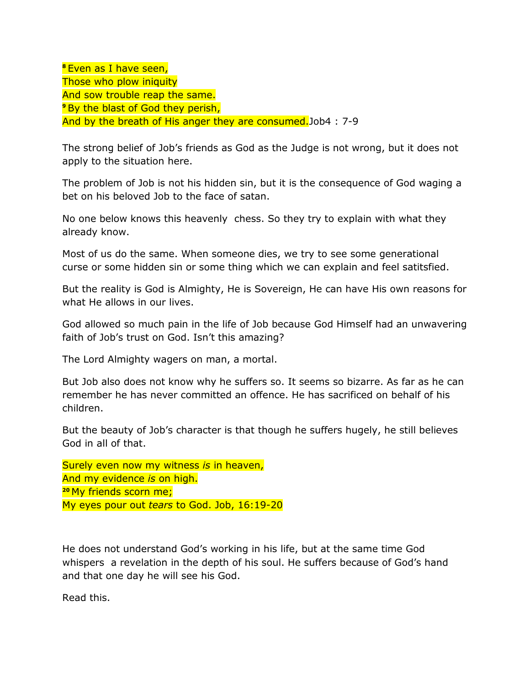**<sup>8</sup>** Even as I have seen, Those who plow iniquity And sow trouble reap the same. **P** By the blast of God they perish, And by the breath of His anger they are consumed.Job4 : 7-9

The strong belief of Job"s friends as God as the Judge is not wrong, but it does not apply to the situation here.

The problem of Job is not his hidden sin, but it is the consequence of God waging a bet on his beloved Job to the face of satan.

No one below knows this heavenly chess. So they try to explain with what they already know.

Most of us do the same. When someone dies, we try to see some generational curse or some hidden sin or some thing which we can explain and feel satitsfied.

But the reality is God is Almighty, He is Sovereign, He can have His own reasons for what He allows in our lives.

God allowed so much pain in the life of Job because God Himself had an unwavering faith of Job's trust on God. Isn't this amazing?

The Lord Almighty wagers on man, a mortal.

But Job also does not know why he suffers so. It seems so bizarre. As far as he can remember he has never committed an offence. He has sacrificed on behalf of his children.

But the beauty of Job"s character is that though he suffers hugely, he still believes God in all of that.

Surely even now my witness *is* in heaven, And my evidence *is* on high. **<sup>20</sup>** My friends scorn me; My eyes pour out *tears* to God. Job, 16:19-20

He does not understand God"s working in his life, but at the same time God whispers a revelation in the depth of his soul. He suffers because of God's hand and that one day he will see his God.

Read this.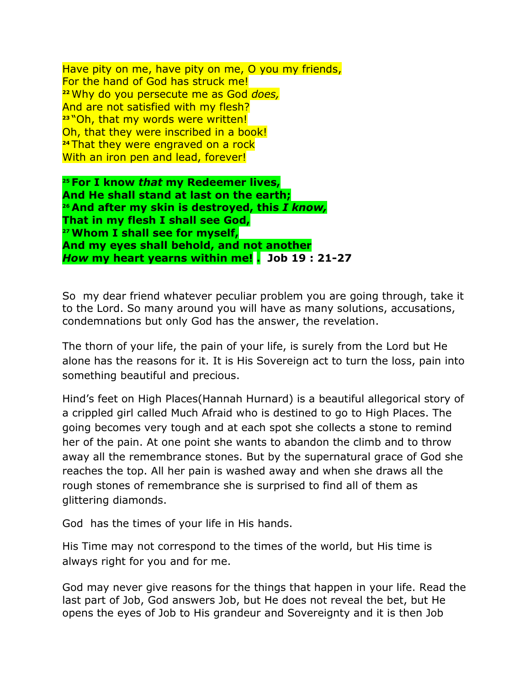Have pity on me, have pity on me, O you my friends, For the hand of God has struck me! **<sup>22</sup>** Why do you persecute me as God *does,* And are not satisfied with my flesh? **<sup>23</sup>** "Oh, that my words were written! Oh, that they were inscribed in a book! **<sup>24</sup>** That they were engraved on a rock With an iron pen and lead, forever!

**<sup>25</sup> For I know** *that* **my Redeemer lives, And He shall stand at last on the earth; <sup>26</sup> And after my skin is destroyed, this** *I know,* **That in my flesh I shall see God, <sup>27</sup>Whom I shall see for myself, And my eyes shall behold, and not another** *How* **my heart yearns within me! . Job 19 : 21-27**

So my dear friend whatever peculiar problem you are going through, take it to the Lord. So many around you will have as many solutions, accusations, condemnations but only God has the answer, the revelation.

The thorn of your life, the pain of your life, is surely from the Lord but He alone has the reasons for it. It is His Sovereign act to turn the loss, pain into something beautiful and precious.

Hind"s feet on High Places(Hannah Hurnard) is a beautiful allegorical story of a crippled girl called Much Afraid who is destined to go to High Places. The going becomes very tough and at each spot she collects a stone to remind her of the pain. At one point she wants to abandon the climb and to throw away all the remembrance stones. But by the supernatural grace of God she reaches the top. All her pain is washed away and when she draws all the rough stones of remembrance she is surprised to find all of them as glittering diamonds.

God has the times of your life in His hands.

His Time may not correspond to the times of the world, but His time is always right for you and for me.

God may never give reasons for the things that happen in your life. Read the last part of Job, God answers Job, but He does not reveal the bet, but He opens the eyes of Job to His grandeur and Sovereignty and it is then Job